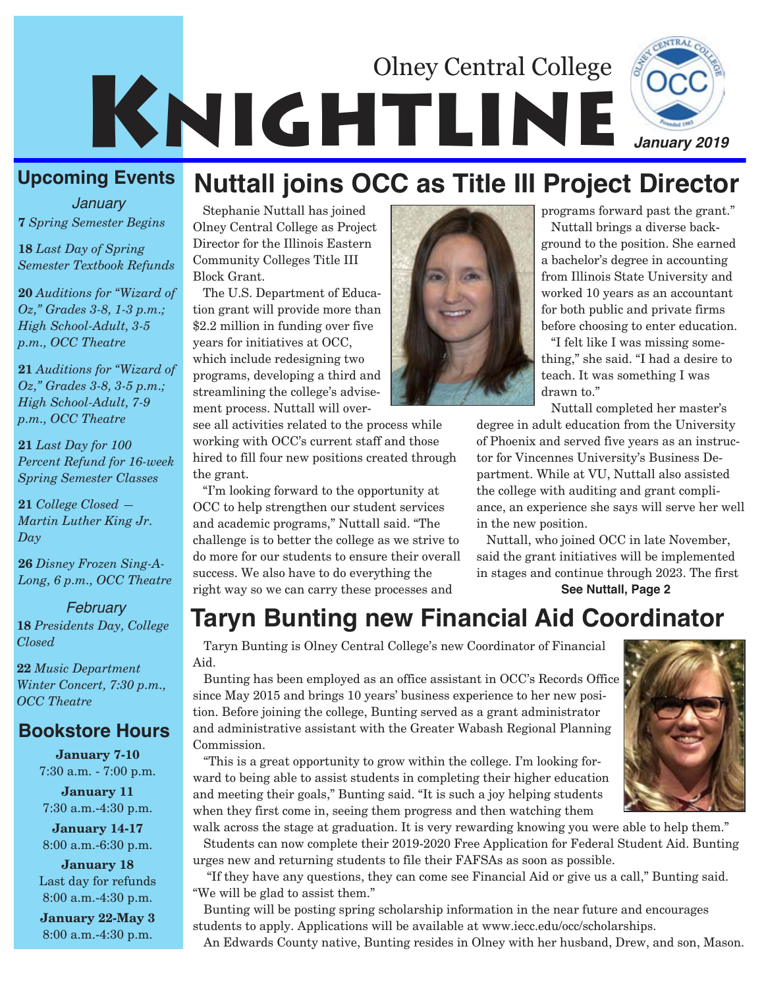# KNIGHTLINE Olney Central College *January 2019*

**7** *Spring Semester Begins January*

**18** *Last Day of Spring Semester Textbook Refunds*

**20** *Auditions for "Wizard of Oz," Grades 3-8, 1-3 p.m.; High School-Adult, 3-5 p.m., OCC Theatre*

**21** *Auditions for "Wizard of Oz," Grades 3-8, 3-5 p.m.; High School-Adult, 7-9 p.m., OCC Theatre*

**21** *Last Day for 100 Percent Refund for 16-week Spring Semester Classes*

**21** *College Closed — Martin Luther King Jr. Day*

**26** *Disney Frozen Sing-A-Long, 6 p.m., OCC Theatre*

*February* **18** *Presidents Day, College Closed*

**22** *Music Department Winter Concert, 7:30 p.m., OCC Theatre*

#### **Bookstore Hours**

**January 7-10** 7:30 a.m. - 7:00 p.m.

**January 11** 7:30 a.m.-4:30 p.m.

**January 14-17** 8:00 a.m.-6:30 p.m.

**January 18** Last day for refunds 8:00 a.m.-4:30 p.m.

**January 22-May 3** 8:00 a.m.-4:30 p.m.

# **Upcoming Events Nuttall joins OCC as Title III Project Director**

Stephanie Nuttall has joined Olney Central College as Project Director for the Illinois Eastern Community Colleges Title III Block Grant.

The U.S. Department of Education grant will provide more than \$2.2 million in funding over five years for initiatives at OCC, which include redesigning two programs, developing a third and streamlining the college's advisement process. Nuttall will over-

see all activities related to the process while working with OCC's current staff and those hired to fill four new positions created through the grant.

"I'm looking forward to the opportunity at OCC to help strengthen our student services and academic programs," Nuttall said. "The challenge is to better the college as we strive to do more for our students to ensure their overall success. We also have to do everything the right way so we can carry these processes and



programs forward past the grant."

Nuttall brings a diverse background to the position. She earned a bachelor's degree in accounting from Illinois State University and worked 10 years as an accountant for both public and private firms before choosing to enter education.

"I felt like I was missing something," she said. "I had a desire to teach. It was something I was drawn to."

Nuttall completed her master's

degree in adult education from the University of Phoenix and served five years as an instructor for Vincennes University's Business Department. While at VU, Nuttall also assisted the college with auditing and grant compliance, an experience she says will serve her well in the new position.

Nuttall, who joined OCC in late November, said the grant initiatives will be implemented in stages and continue through 2023. The first **See Nuttall, Page 2**

# **Taryn Bunting new Financial Aid Coordinator**

Taryn Bunting is Olney Central College's new Coordinator of Financial Aid.

Bunting has been employed as an office assistant in OCC's Records Office since May 2015 and brings 10 years' business experience to her new position. Before joining the college, Bunting served as a grant administrator and administrative assistant with the Greater Wabash Regional Planning Commission.

"This is a great opportunity to grow within the college. I'm looking forward to being able to assist students in completing their higher education and meeting their goals," Bunting said. "It is such a joy helping students when they first come in, seeing them progress and then watching them

walk across the stage at graduation. It is very rewarding knowing you were able to help them." Students can now complete their 2019-2020 Free Application for Federal Student Aid. Bunting urges new and returning students to file their FAFSAs as soon as possible.

"If they have any questions, they can come see Financial Aid or give us a call," Bunting said. "We will be glad to assist them."

Bunting will be posting spring scholarship information in the near future and encourages students to apply. Applications will be available at www.iecc.edu/occ/scholarships. An Edwards County native, Bunting resides in Olney with her husband, Drew, and son, Mason.

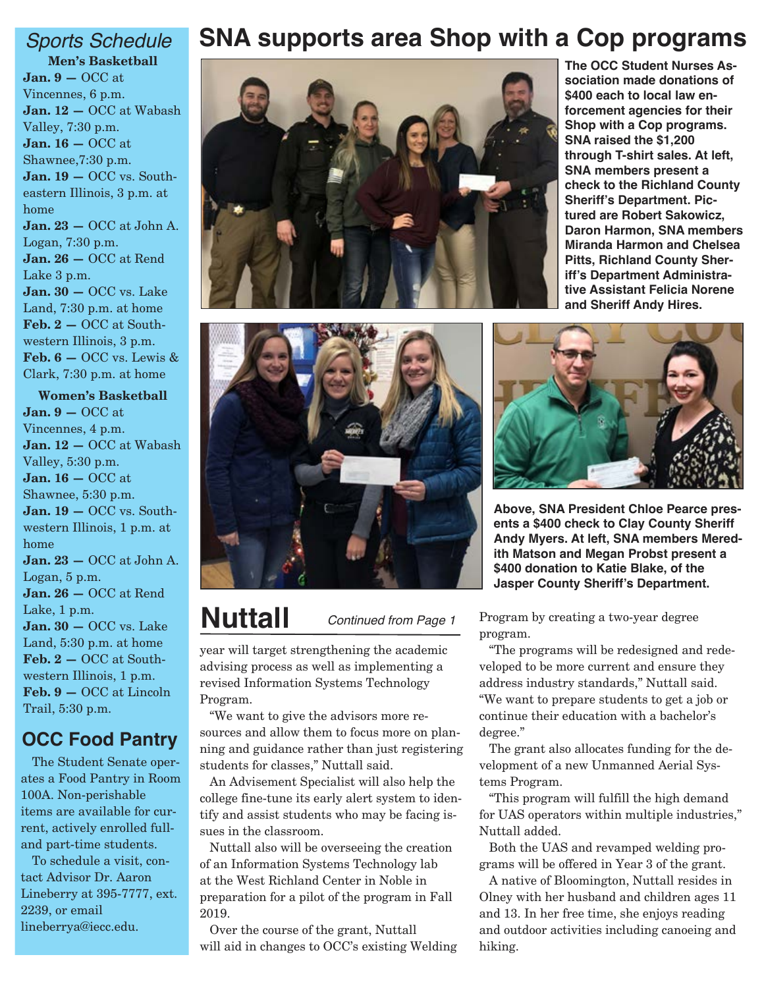**Men's Basketball Jan. 9 —** OCC at Vincennes, 6 p.m. **Jan. 12 —** OCC at Wabash Valley, 7:30 p.m. **Jan. 16 —** OCC at Shawnee,7:30 p.m. **Jan. 19 —** OCC vs. Southeastern Illinois, 3 p.m. at home **Jan. 23 —** OCC at John A. Logan, 7:30 p.m. **Jan. 26 —** OCC at Rend Lake 3 p.m. **Jan. 30 —** OCC vs. Lake Land, 7:30 p.m. at home **Feb. 2 —** OCC at Southwestern Illinois, 3 p.m. **Feb. 6 —** OCC vs. Lewis & Clark, 7:30 p.m. at home

**Women's Basketball Jan. 9 —** OCC at Vincennes, 4 p.m. **Jan. 12 —** OCC at Wabash Valley, 5:30 p.m. **Jan. 16 —** OCC at Shawnee, 5:30 p.m. **Jan. 19 —** OCC vs. Southwestern Illinois, 1 p.m. at home **Jan. 23 —** OCC at John A. Logan, 5 p.m. **Jan. 26 —** OCC at Rend Lake, 1 p.m. **Jan. 30 —** OCC vs. Lake Land, 5:30 p.m. at home **Feb. 2 —** OCC at Southwestern Illinois, 1 p.m. **Feb. 9 —** OCC at Lincoln Trail, 5:30 p.m.

#### **OCC Food Pantry**

The Student Senate operates a Food Pantry in Room 100A. Non-perishable items are available for current, actively enrolled fulland part-time students.

To schedule a visit, contact Advisor Dr. Aaron Lineberry at 395-7777, ext. 2239, or email lineberrya@iecc.edu.

## *Sports Schedule* **SNA supports area Shop with a Cop programs**





# **Nuttall** *Continued from Page 1*

year will target strengthening the academic advising process as well as implementing a revised Information Systems Technology Program.

"We want to give the advisors more resources and allow them to focus more on planning and guidance rather than just registering students for classes," Nuttall said.

An Advisement Specialist will also help the college fine-tune its early alert system to identify and assist students who may be facing issues in the classroom.

Nuttall also will be overseeing the creation of an Information Systems Technology lab at the West Richland Center in Noble in preparation for a pilot of the program in Fall 2019.

Over the course of the grant, Nuttall will aid in changes to OCC's existing Welding

**The OCC Student Nurses Association made donations of \$400 each to local law enforcement agencies for their Shop with a Cop programs. SNA raised the \$1,200 through T-shirt sales. At left, SNA members present a check to the Richland County Sheriff's Department. Pictured are Robert Sakowicz, Daron Harmon, SNA members Miranda Harmon and Chelsea Pitts, Richland County Sheriff's Department Administrative Assistant Felicia Norene and Sheriff Andy Hires.**



**Above, SNA President Chloe Pearce presents a \$400 check to Clay County Sheriff Andy Myers. At left, SNA members Meredith Matson and Megan Probst present a \$400 donation to Katie Blake, of the Jasper County Sheriff's Department.** 

Program by creating a two-year degree program.

"The programs will be redesigned and redeveloped to be more current and ensure they address industry standards," Nuttall said. "We want to prepare students to get a job or continue their education with a bachelor's degree."

The grant also allocates funding for the development of a new Unmanned Aerial Systems Program.

"This program will fulfill the high demand for UAS operators within multiple industries," Nuttall added.

Both the UAS and revamped welding programs will be offered in Year 3 of the grant.

A native of Bloomington, Nuttall resides in Olney with her husband and children ages 11 and 13. In her free time, she enjoys reading and outdoor activities including canoeing and hiking.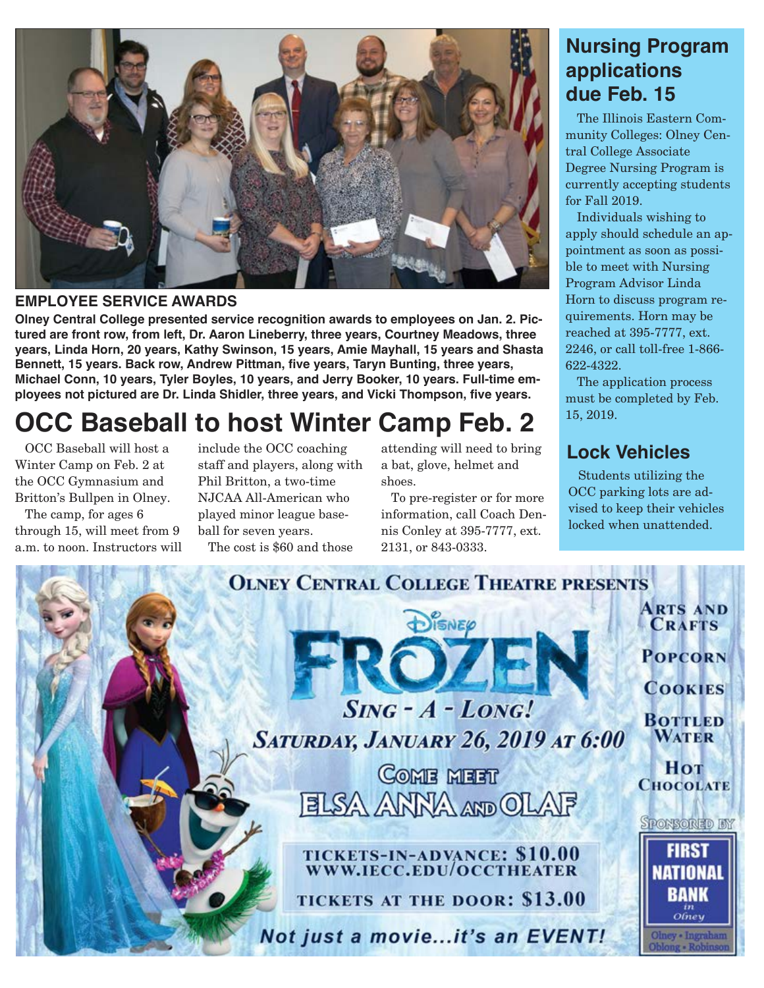

#### **EMPLOYEE SERVICE AWARDS**

**Olney Central College presented service recognition awards to employees on Jan. 2. Pictured are front row, from left, Dr. Aaron Lineberry, three years, Courtney Meadows, three years, Linda Horn, 20 years, Kathy Swinson, 15 years, Amie Mayhall, 15 years and Shasta Bennett, 15 years. Back row, Andrew Pittman, five years, Taryn Bunting, three years, Michael Conn, 10 years, Tyler Boyles, 10 years, and Jerry Booker, 10 years. Full-time employees not pictured are Dr. Linda Shidler, three years, and Vicki Thompson, five years.**

# **OCC Baseball to host Winter Camp Feb. 2**

OCC Baseball will host a Winter Camp on Feb. 2 at the OCC Gymnasium and Britton's Bullpen in Olney.

The camp, for ages 6 through 15, will meet from 9 a.m. to noon. Instructors will include the OCC coaching staff and players, along with Phil Britton, a two-time NJCAA All-American who played minor league baseball for seven years. The cost is \$60 and those

attending will need to bring a bat, glove, helmet and shoes.

To pre-register or for more information, call Coach Dennis Conley at 395-7777, ext. 2131, or 843-0333.

### **Nursing Program applications due Feb. 15**

The Illinois Eastern Community Colleges: Olney Central College Associate Degree Nursing Program is currently accepting students for Fall 2019.

Individuals wishing to apply should schedule an appointment as soon as possible to meet with Nursing Program Advisor Linda Horn to discuss program requirements. Horn may be reached at 395-7777, ext. 2246, or call toll-free 1-866- 622-4322.

The application process must be completed by Feb. 15, 2019.

### **Lock Vehicles**

Students utilizing the OCC parking lots are advised to keep their vehicles locked when unattended.